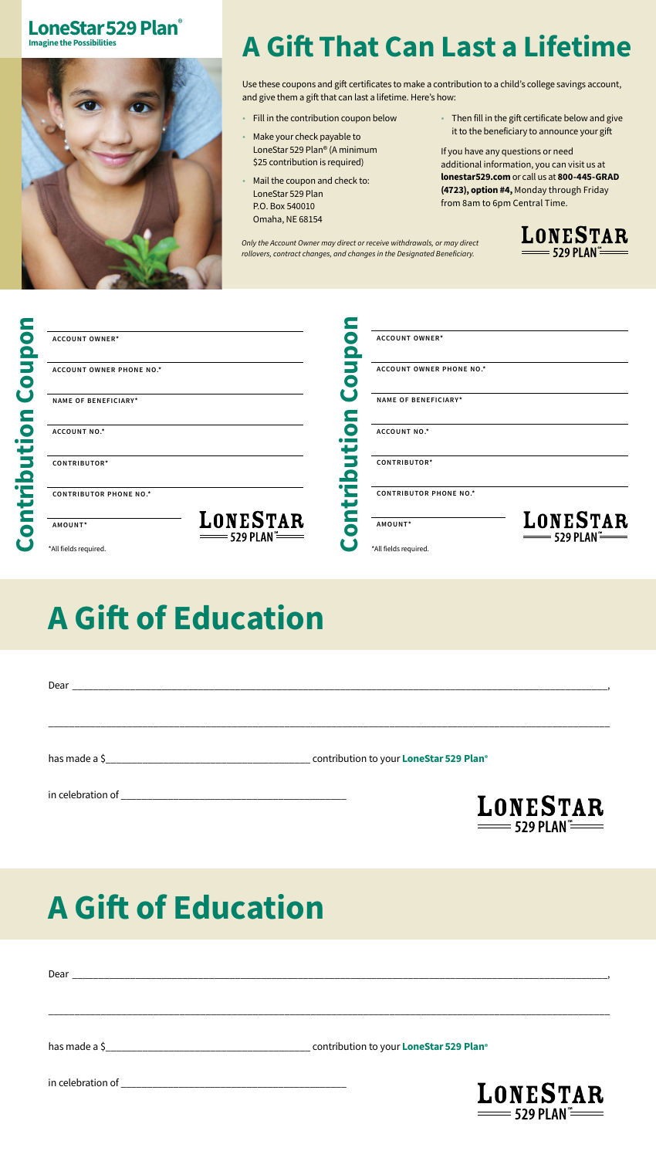## LoneStar 529 Plan<sup>®</sup>



## A Gift That Can Last a Lifetime

Use these coupons and gift certificates to make a contribution to a child's college savings account, and give them a gift that can last a lifetime. Here's how:

- Fill in the contribution coupon below
- Make your check payable to LoneStar 529 Plan® (A minimum \$25 contribution is required)
- Mail the coupon and check to:
- LoneStar 529 Plan P.O. Box 540010
- Omaha, NE 68154

*Only the Account Owner may direct or receive withdrawals, or may direct rollovers, contract changes, and changes in the Designated Beneficiary.*

• Then fill in the gift certificate below and give it to the beneficiary to announce your gift

If you have any questions or need additional information, you can visit us at [lonestar529.com](http://lonestar529.com) or call us at 800-445-GRAD (4723), option #4, Monday through Friday from 8am to 6pm Central Time.

= 529 PLAN =

 $\equiv$  529 plan $\stackrel{\scriptscriptstyle\text{max}}{=}$ 



|                    | <b>ACCOUNT OWNER*</b>         |                                      | <b>ACCOUNT OWNER*</b>           |                                       |
|--------------------|-------------------------------|--------------------------------------|---------------------------------|---------------------------------------|
|                    | ACCOUNT OWNER PHONE NO.*      |                                      | <b>ACCOUNT OWNER PHONE NO.*</b> |                                       |
|                    | NAME OF BENEFICIARY*          |                                      | <b>NAME OF BENEFICIARY*</b>     |                                       |
| C<br>$\bullet$ and | ACCOUNT NO.*                  |                                      | ACCOUNT NO.*                    |                                       |
|                    | CONTRIBUTOR*                  |                                      | CONTRIBUTOR*                    |                                       |
|                    | <b>CONTRIBUTOR PHONE NO.*</b> |                                      | <b>CONTRIBUTOR PHONE NO.*</b>   |                                       |
| C                  | AMOUNT*                       | <b>LONESTAR</b><br>$\equiv$ 529 PLAN | AMOUNT*                         | LONESTAR<br>= 529 PLAN <sup>‴</sup> = |
|                    | *All fields required.         |                                      | *All fields required.           |                                       |

## A Gift of Education

| <b>LONESTAR</b> |
|-----------------|

A Gift of Education

| LONESTAR |
|----------|